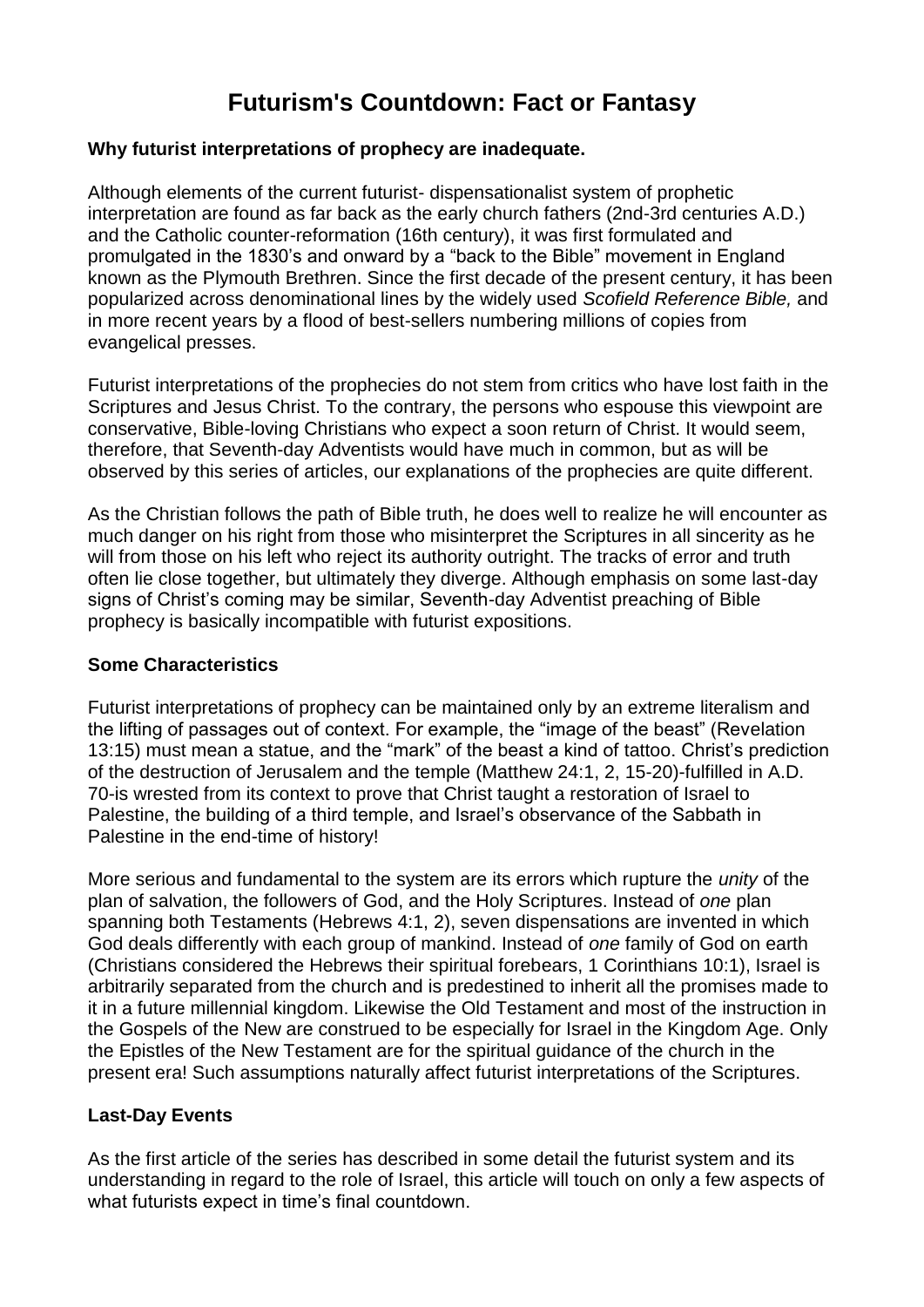# **Futurism's Countdown: Fact or Fantasy**

### **Why futurist interpretations of prophecy are inadequate.**

Although elements of the current futurist- dispensationalist system of prophetic interpretation are found as far back as the early church fathers (2nd-3rd centuries A.D.) and the Catholic counter-reformation (16th century), it was first formulated and promulgated in the 1830's and onward by a "back to the Bible" movement in England known as the Plymouth Brethren. Since the first decade of the present century, it has been popularized across denominational lines by the widely used *Scofield Reference Bible,* and in more recent years by a flood of best-sellers numbering millions of copies from evangelical presses.

Futurist interpretations of the prophecies do not stem from critics who have lost faith in the Scriptures and Jesus Christ. To the contrary, the persons who espouse this viewpoint are conservative, Bible-loving Christians who expect a soon return of Christ. It would seem, therefore, that Seventh-day Adventists would have much in common, but as will be observed by this series of articles, our explanations of the prophecies are quite different.

As the Christian follows the path of Bible truth, he does well to realize he will encounter as much danger on his right from those who misinterpret the Scriptures in all sincerity as he will from those on his left who reject its authority outright. The tracks of error and truth often lie close together, but ultimately they diverge. Although emphasis on some last-day signs of Christ's coming may be similar, Seventh-day Adventist preaching of Bible prophecy is basically incompatible with futurist expositions.

#### **Some Characteristics**

Futurist interpretations of prophecy can be maintained only by an extreme literalism and the lifting of passages out of context. For example, the "image of the beast" (Revelation 13:15) must mean a statue, and the "mark" of the beast a kind of tattoo. Christ's prediction of the destruction of Jerusalem and the temple (Matthew 24:1, 2, 15-20)-fulfilled in A.D. 70-is wrested from its context to prove that Christ taught a restoration of Israel to Palestine, the building of a third temple, and Israel's observance of the Sabbath in Palestine in the end-time of history!

More serious and fundamental to the system are its errors which rupture the *unity* of the plan of salvation, the followers of God, and the Holy Scriptures. Instead of *one* plan spanning both Testaments (Hebrews 4:1, 2), seven dispensations are invented in which God deals differently with each group of mankind. Instead of *one* family of God on earth (Christians considered the Hebrews their spiritual forebears, 1 Corinthians 10:1), Israel is arbitrarily separated from the church and is predestined to inherit all the promises made to it in a future millennial kingdom. Likewise the Old Testament and most of the instruction in the Gospels of the New are construed to be especially for Israel in the Kingdom Age. Only the Epistles of the New Testament are for the spiritual guidance of the church in the present era! Such assumptions naturally affect futurist interpretations of the Scriptures.

## **Last-Day Events**

As the first article of the series has described in some detail the futurist system and its understanding in regard to the role of Israel, this article will touch on only a few aspects of what futurists expect in time's final countdown.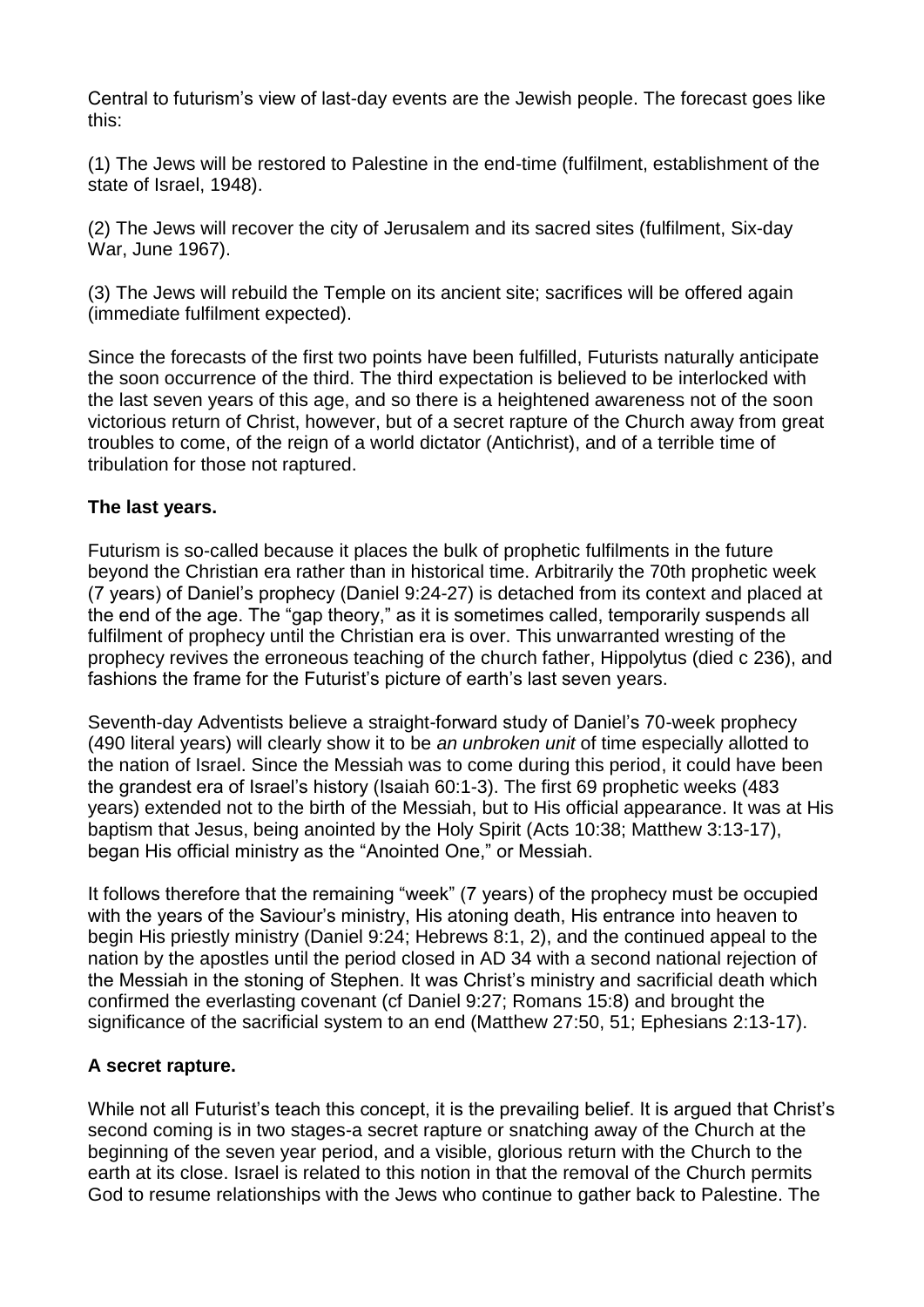Central to futurism's view of last-day events are the Jewish people. The forecast goes like this:

(1) The Jews will be restored to Palestine in the end-time (fulfilment, establishment of the state of Israel, 1948).

(2) The Jews will recover the city of Jerusalem and its sacred sites (fulfilment, Six-day War, June 1967).

(3) The Jews will rebuild the Temple on its ancient site; sacrifices will be offered again (immediate fulfilment expected).

Since the forecasts of the first two points have been fulfilled, Futurists naturally anticipate the soon occurrence of the third. The third expectation is believed to be interlocked with the last seven years of this age, and so there is a heightened awareness not of the soon victorious return of Christ, however, but of a secret rapture of the Church away from great troubles to come, of the reign of a world dictator (Antichrist), and of a terrible time of tribulation for those not raptured.

### **The last years.**

Futurism is so-called because it places the bulk of prophetic fulfilments in the future beyond the Christian era rather than in historical time. Arbitrarily the 70th prophetic week (7 years) of Daniel's prophecy (Daniel 9:24-27) is detached from its context and placed at the end of the age. The "gap theory," as it is sometimes called, temporarily suspends all fulfilment of prophecy until the Christian era is over. This unwarranted wresting of the prophecy revives the erroneous teaching of the church father, Hippolytus (died c 236), and fashions the frame for the Futurist's picture of earth's last seven years.

Seventh-day Adventists believe a straight-forward study of Daniel's 70-week prophecy (490 literal years) will clearly show it to be *an unbroken unit* of time especially allotted to the nation of Israel. Since the Messiah was to come during this period, it could have been the grandest era of Israel's history (Isaiah 60:1-3). The first 69 prophetic weeks (483 years) extended not to the birth of the Messiah, but to His official appearance. It was at His baptism that Jesus, being anointed by the Holy Spirit (Acts 10:38; Matthew 3:13-17), began His official ministry as the "Anointed One," or Messiah.

It follows therefore that the remaining "week" (7 years) of the prophecy must be occupied with the years of the Saviour's ministry, His atoning death, His entrance into heaven to begin His priestly ministry (Daniel 9:24; Hebrews 8:1, 2), and the continued appeal to the nation by the apostles until the period closed in AD 34 with a second national rejection of the Messiah in the stoning of Stephen. It was Christ's ministry and sacrificial death which confirmed the everlasting covenant (cf Daniel 9:27; Romans 15:8) and brought the significance of the sacrificial system to an end (Matthew 27:50, 51; Ephesians 2:13-17).

## **A secret rapture.**

While not all Futurist's teach this concept, it is the prevailing belief. It is argued that Christ's second coming is in two stages-a secret rapture or snatching away of the Church at the beginning of the seven year period, and a visible, glorious return with the Church to the earth at its close. Israel is related to this notion in that the removal of the Church permits God to resume relationships with the Jews who continue to gather back to Palestine. The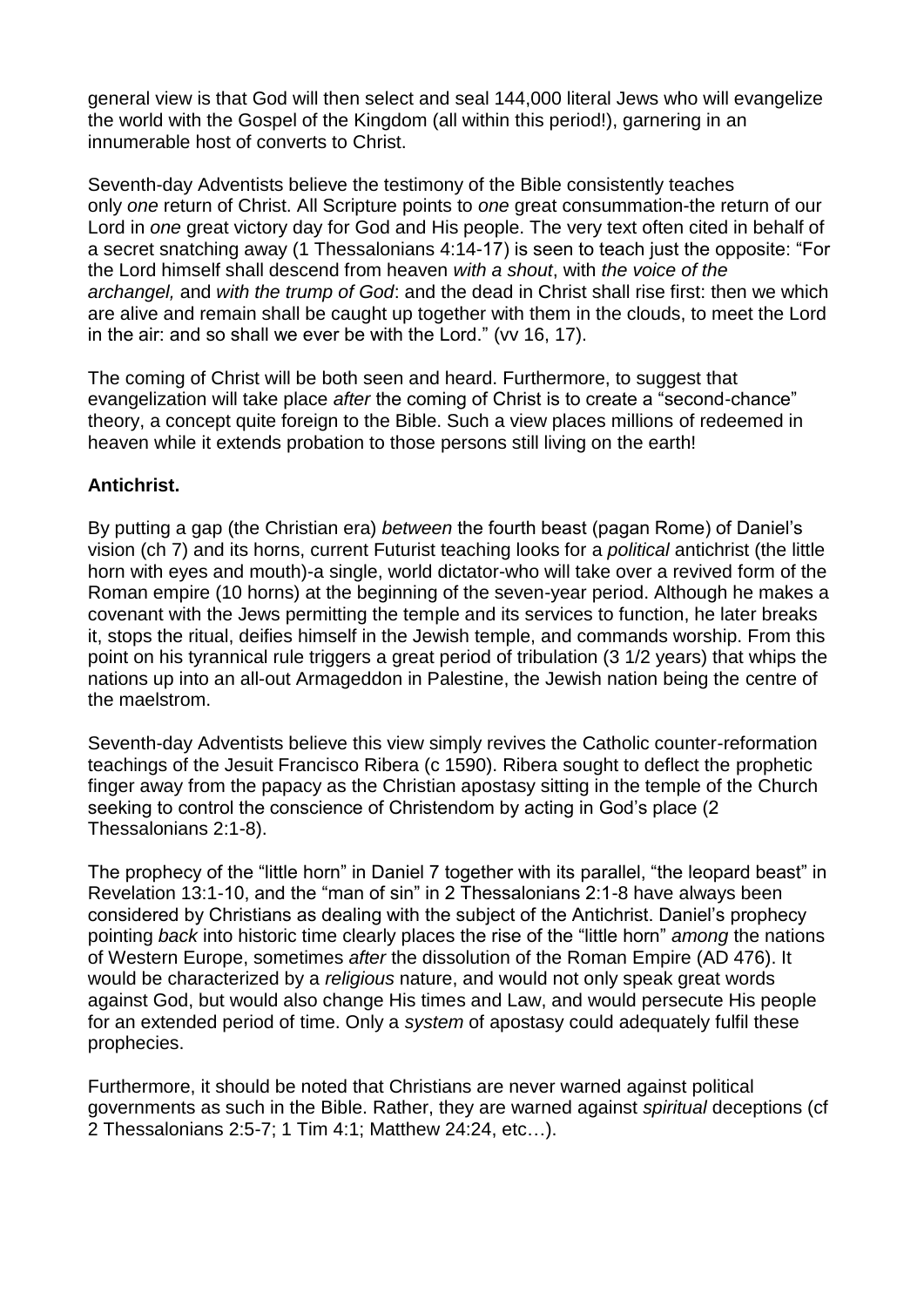general view is that God will then select and seal 144,000 literal Jews who will evangelize the world with the Gospel of the Kingdom (all within this period!), garnering in an innumerable host of converts to Christ.

Seventh-day Adventists believe the testimony of the Bible consistently teaches only *one* return of Christ. All Scripture points to *one* great consummation-the return of our Lord in *one* great victory day for God and His people. The very text often cited in behalf of a secret snatching away (1 Thessalonians 4:14-17) is seen to teach just the opposite: "For the Lord himself shall descend from heaven *with a shout*, with *the voice of the archangel,* and *with the trump of God*: and the dead in Christ shall rise first: then we which are alive and remain shall be caught up together with them in the clouds, to meet the Lord in the air: and so shall we ever be with the Lord." (vv 16, 17).

The coming of Christ will be both seen and heard. Furthermore, to suggest that evangelization will take place *after* the coming of Christ is to create a "second-chance" theory, a concept quite foreign to the Bible. Such a view places millions of redeemed in heaven while it extends probation to those persons still living on the earth!

### **Antichrist.**

By putting a gap (the Christian era) *between* the fourth beast (pagan Rome) of Daniel's vision (ch 7) and its horns, current Futurist teaching looks for a *political* antichrist (the little horn with eyes and mouth)-a single, world dictator-who will take over a revived form of the Roman empire (10 horns) at the beginning of the seven-year period. Although he makes a covenant with the Jews permitting the temple and its services to function, he later breaks it, stops the ritual, deifies himself in the Jewish temple, and commands worship. From this point on his tyrannical rule triggers a great period of tribulation (3 1/2 years) that whips the nations up into an all-out Armageddon in Palestine, the Jewish nation being the centre of the maelstrom.

Seventh-day Adventists believe this view simply revives the Catholic counter-reformation teachings of the Jesuit Francisco Ribera (c 1590). Ribera sought to deflect the prophetic finger away from the papacy as the Christian apostasy sitting in the temple of the Church seeking to control the conscience of Christendom by acting in God's place (2 Thessalonians 2:1-8).

The prophecy of the "little horn" in Daniel 7 together with its parallel, "the leopard beast" in Revelation 13:1-10, and the "man of sin" in 2 Thessalonians 2:1-8 have always been considered by Christians as dealing with the subject of the Antichrist. Daniel's prophecy pointing *back* into historic time clearly places the rise of the "little horn" *among* the nations of Western Europe, sometimes *after* the dissolution of the Roman Empire (AD 476). It would be characterized by a *religious* nature, and would not only speak great words against God, but would also change His times and Law, and would persecute His people for an extended period of time. Only a *system* of apostasy could adequately fulfil these prophecies.

Furthermore, it should be noted that Christians are never warned against political governments as such in the Bible. Rather, they are warned against *spiritual* deceptions (cf 2 Thessalonians 2:5-7; 1 Tim 4:1; Matthew 24:24, etc…).